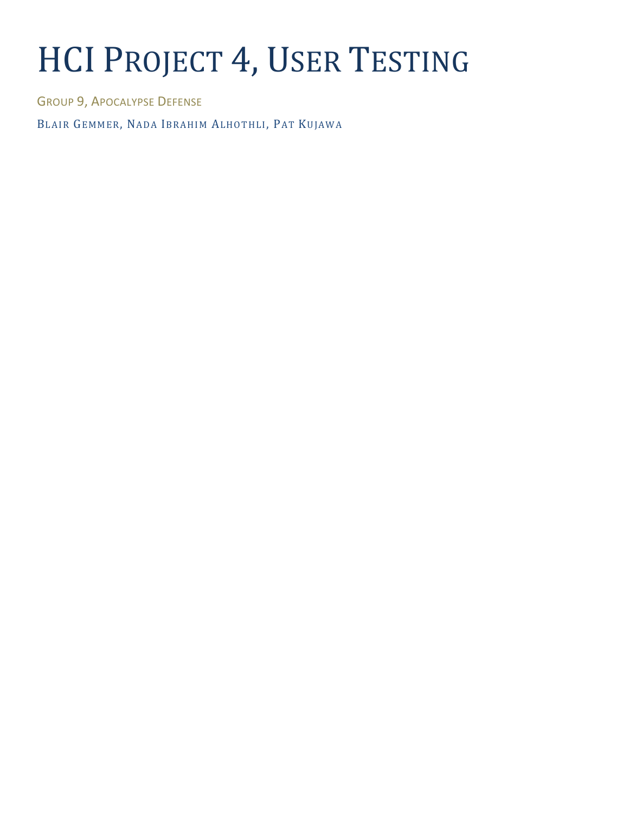# HCI PROJECT 4, USER TESTING

GROUP 9, APOCALYPSE DEFENSE

BLAIR GEMMER, NADA IBRAHIM ALHOTHLI, PAT KUJAWA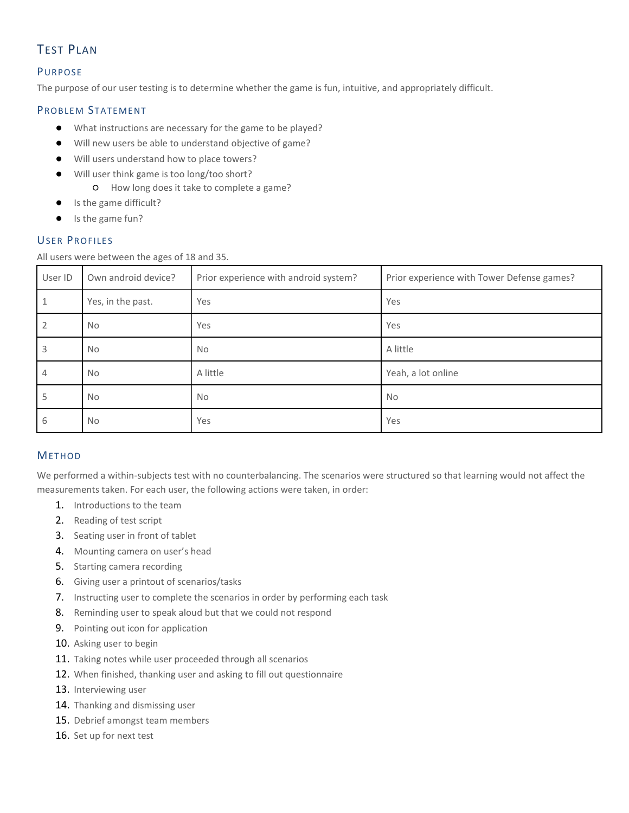# TEST PLAN

## PURPOSE

The purpose of our user testing is to determine whether the game is fun, intuitive, and appropriately difficult.

# PROBLEM STATEMENT

- What instructions are necessary for the game to be played?
- Will new users be able to understand objective of game?
- Will users understand how to place towers?
- Will user think game is too long/too short?
	- How long does it take to complete a game?
- Is the game difficult?
- Is the game fun?

## **USER PROFILES**

All users were between the ages of 18 and 35.

| User ID        | Own android device? | Prior experience with android system? | Prior experience with Tower Defense games? |
|----------------|---------------------|---------------------------------------|--------------------------------------------|
| 1              | Yes, in the past.   | Yes                                   | Yes                                        |
| 2              | No.                 | Yes                                   | Yes                                        |
| 3              | No.                 | No.                                   | A little                                   |
| $\overline{4}$ | No.                 | A little                              | Yeah, a lot online                         |
| 5              | No                  | <b>No</b>                             | <b>No</b>                                  |
| 6              | <b>No</b>           | Yes                                   | Yes                                        |

## METHOD

We performed a within-subjects test with no counterbalancing. The scenarios were structured so that learning would not affect the measurements taken. For each user, the following actions were taken, in order:

- 1. Introductions to the team
- 2. Reading of test script
- 3. Seating user in front of tablet
- 4. Mounting camera on user's head
- 5. Starting camera recording
- 6. Giving user a printout of scenarios/tasks
- 7. Instructing user to complete the scenarios in order by performing each task
- 8. Reminding user to speak aloud but that we could not respond
- 9. Pointing out icon for application
- 10. Asking user to begin
- 11. Taking notes while user proceeded through all scenarios
- 12. When finished, thanking user and asking to fill out questionnaire
- 13. Interviewing user
- 14. Thanking and dismissing user
- 15. Debrief amongst team members
- 16. Set up for next test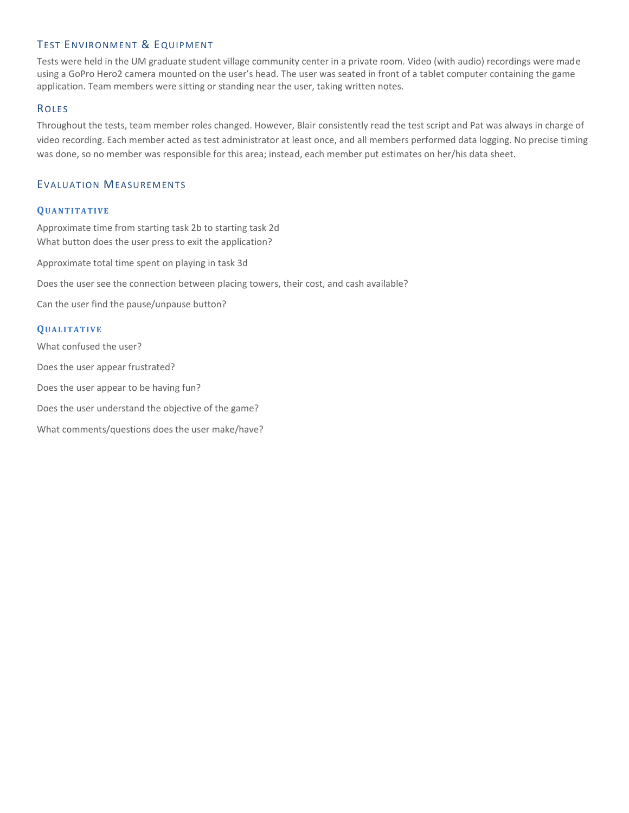# TEST ENVIRONMENT & EQUIPMENT

Tests were held in the UM graduate student village community center in a private room. Video (with audio) recordings were made using a GoPro Hero2 camera mounted on the user's head. The user was seated in front of a tablet computer containing the game application. Team members were sitting or standing near the user, taking written notes.

#### **ROLES**

Throughout the tests, team member roles changed. However, Blair consistently read the test script and Pat was always in charge of video recording. Each member acted as test administrator at least once, and all members performed data logging. No precise timing was done, so no member was responsible for this area; instead, each member put estimates on her/his data sheet.

#### EVALUATION MEASUREMENTS

#### **QU A N T I T A T I V E**

Approximate time from starting task 2b to starting task 2d What button does the user press to exit the application?

Approximate total time spent on playing in task 3d

Does the user see the connection between placing towers, their cost, and cash available?

Can the user find the pause/unpause button?

#### **QU A L I T A T I V E**

What confused the user?

Does the user appear frustrated?

Does the user appear to be having fun?

Does the user understand the objective of the game?

What comments/questions does the user make/have?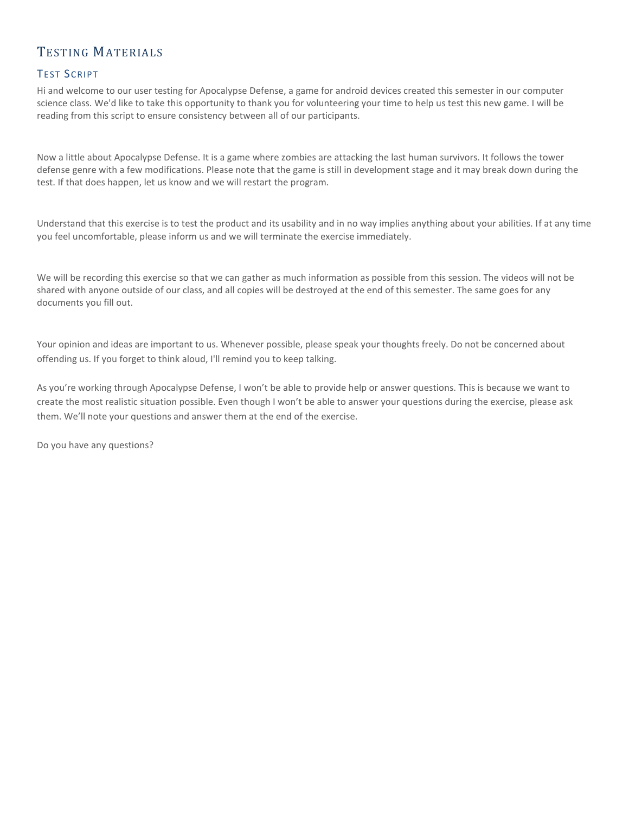# TESTING MATERIALS

# **TEST SCRIPT**

Hi and welcome to our user testing for Apocalypse Defense, a game for android devices created this semester in our computer science class. We'd like to take this opportunity to thank you for volunteering your time to help us test this new game. I will be reading from this script to ensure consistency between all of our participants.

Now a little about Apocalypse Defense. It is a game where zombies are attacking the last human survivors. It follows the tower defense genre with a few modifications. Please note that the game is still in development stage and it may break down during the test. If that does happen, let us know and we will restart the program.

Understand that this exercise is to test the product and its usability and in no way implies anything about your abilities. If at any time you feel uncomfortable, please inform us and we will terminate the exercise immediately.

We will be recording this exercise so that we can gather as much information as possible from this session. The videos will not be shared with anyone outside of our class, and all copies will be destroyed at the end of this semester. The same goes for any documents you fill out.

Your opinion and ideas are important to us. Whenever possible, please speak your thoughts freely. Do not be concerned about offending us. If you forget to think aloud, I'll remind you to keep talking.

As you're working through Apocalypse Defense, I won't be able to provide help or answer questions. This is because we want to create the most realistic situation possible. Even though I won't be able to answer your questions during the exercise, please ask them. We'll note your questions and answer them at the end of the exercise.

Do you have any questions?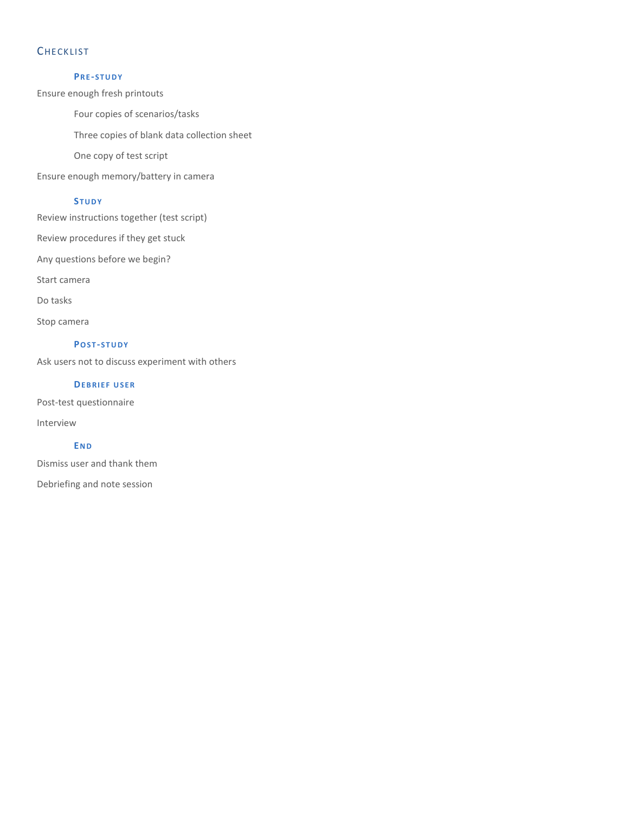# **CHECKLIST**

#### **PR E -S T U D Y**

Ensure enough fresh printouts

Four copies of scenarios/tasks

Three copies of blank data collection sheet

One copy of test script

Ensure enough memory/battery in camera

#### **ST U D Y**

Review instructions together (test script)

Review procedures if they get stuck

Any questions before we begin?

Start camera

Do tasks

Stop camera

#### **PO S T -S T U D Y**

Ask users not to discuss experiment with others

#### **DEBRIEF USER**

Post-test questionnaire

Interview

#### **EN D**

Dismiss user and thank them

Debriefing and note session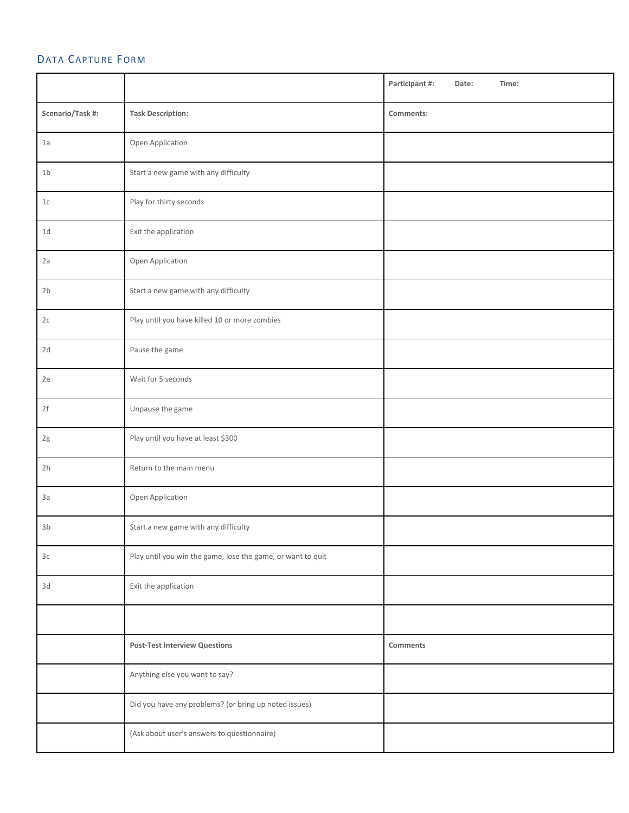# DATA CAPTURE FORM

|                  |                                                             | Participant #:<br>Time:<br>Date: |
|------------------|-------------------------------------------------------------|----------------------------------|
| Scenario/Task #: | <b>Task Description:</b>                                    | Comments:                        |
| 1a               | Open Application                                            |                                  |
| 1 <sub>b</sub>   | Start a new game with any difficulty                        |                                  |
| $1c$             | Play for thirty seconds                                     |                                  |
| 1d               | Exit the application                                        |                                  |
| 2a               | Open Application                                            |                                  |
| 2 <sub>b</sub>   | Start a new game with any difficulty                        |                                  |
| 2c               | Play until you have killed 10 or more zombies               |                                  |
| 2d               | Pause the game                                              |                                  |
| 2e               | Wait for 5 seconds                                          |                                  |
| 2f               | Unpause the game                                            |                                  |
| 2g               | Play until you have at least \$300                          |                                  |
| 2h               | Return to the main menu                                     |                                  |
| 3a               | Open Application                                            |                                  |
| 3 <sub>b</sub>   | Start a new game with any difficulty                        |                                  |
| 3c               | Play until you win the game, lose the game, or want to quit |                                  |
| 3d               | Exit the application                                        |                                  |
|                  |                                                             |                                  |
|                  | <b>Post-Test Interview Questions</b>                        | Comments                         |
|                  | Anything else you want to say?                              |                                  |
|                  | Did you have any problems? (or bring up noted issues)       |                                  |
|                  | (Ask about user's answers to questionnaire)                 |                                  |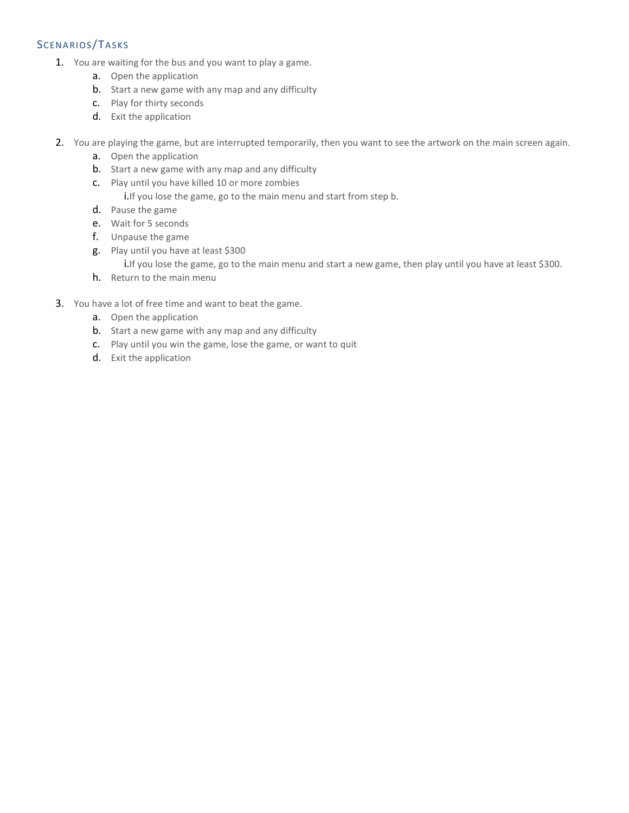# SCENARIOS/TASKS

- 1. You are waiting for the bus and you want to play a game.
	- a. Open the application
	- b. Start a new game with any map and any difficulty
	- c. Play for thirty seconds
	- d. Exit the application
- 2. You are playing the game, but are interrupted temporarily, then you want to see the artwork on the main screen again.
	- a. Open the application
	- b. Start a new game with any map and any difficulty
	- c. Play until you have killed 10 or more zombies
		- i.If you lose the game, go to the main menu and start from step b.
	- d. Pause the game
	- e. Wait for 5 seconds
	- f. Unpause the game
	- g. Play until you have at least \$300

i.If you lose the game, go to the main menu and start a new game, then play until you have at least \$300.

- h. Return to the main menu
- 3. You have a lot of free time and want to beat the game.
	- a. Open the application
	- b. Start a new game with any map and any difficulty
	- c. Play until you win the game, lose the game, or want to quit
	- d. Exit the application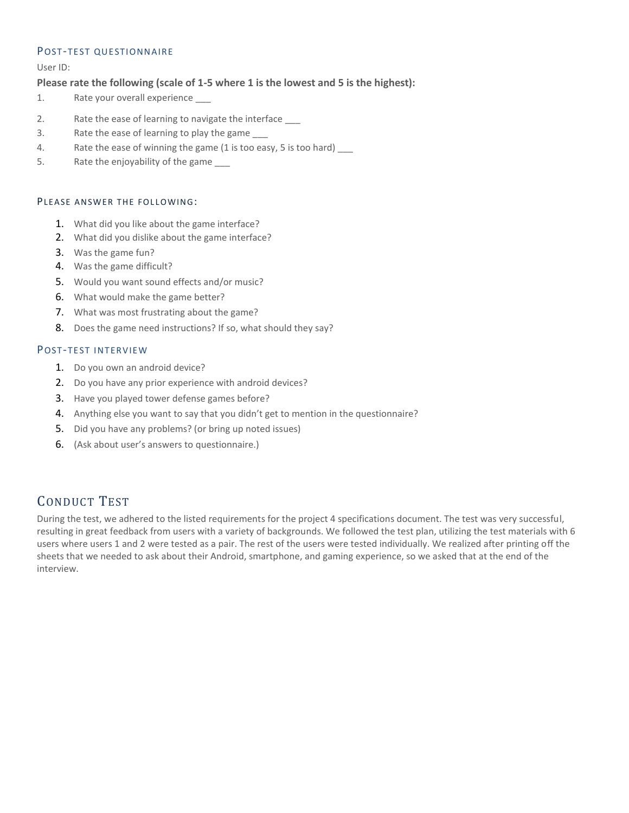#### POST-TEST QUESTIONNAIRE

User ID:

## **Please rate the following (scale of 1-5 where 1 is the lowest and 5 is the highest):**

- 1. Rate your overall experience \_\_\_
- 2. Rate the ease of learning to navigate the interface
- 3. Rate the ease of learning to play the game
- 4. Rate the ease of winning the game (1 is too easy, 5 is too hard)
- 5. Rate the enjoyability of the game \_\_\_\_

#### PIEASE ANSWER THE FOLLOWING:

- 1. What did you like about the game interface?
- 2. What did you dislike about the game interface?
- 3. Was the game fun?
- 4. Was the game difficult?
- 5. Would you want sound effects and/or music?
- 6. What would make the game better?
- 7. What was most frustrating about the game?
- 8. Does the game need instructions? If so, what should they say?

#### POST-TEST INTERVIEW

- 1. Do you own an android device?
- 2. Do you have any prior experience with android devices?
- 3. Have you played tower defense games before?
- 4. Anything else you want to say that you didn't get to mention in the questionnaire?
- 5. Did you have any problems? (or bring up noted issues)
- 6. (Ask about user's answers to questionnaire.)

# CONDUCT TEST

During the test, we adhered to the listed requirements for the project 4 specifications document. The test was very successful, resulting in great feedback from users with a variety of backgrounds. We followed the test plan, utilizing the test materials with 6 users where users 1 and 2 were tested as a pair. The rest of the users were tested individually. We realized after printing off the sheets that we needed to ask about their Android, smartphone, and gaming experience, so we asked that at the end of the interview.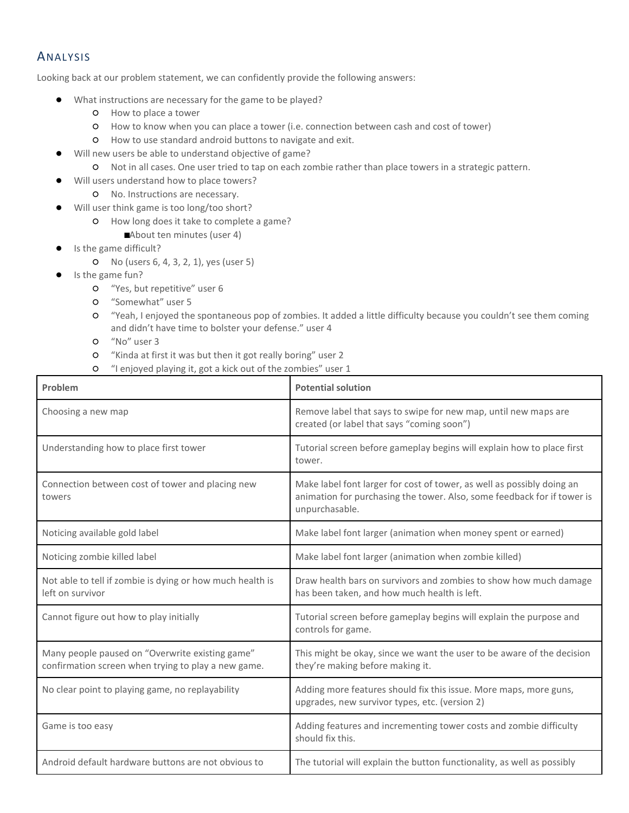# ANALYSIS

Looking back at our problem statement, we can confidently provide the following answers:

- What instructions are necessary for the game to be played?
	- How to place a tower
	- How to know when you can place a tower (i.e. connection between cash and cost of tower)
	- How to use standard android buttons to navigate and exit.
- Will new users be able to understand objective of game?
	- Not in all cases. One user tried to tap on each zombie rather than place towers in a strategic pattern.
- Will users understand how to place towers?
	- No. Instructions are necessary.
- Will user think game is too long/too short?
	- How long does it take to complete a game?
	- ■About ten minutes (user 4)
- Is the game difficult?
	- No (users 6, 4, 3, 2, 1), yes (user 5)
- Is the game fun?
	- "Yes, but repetitive" user 6
	- "Somewhat" user 5
	- "Yeah, I enjoyed the spontaneous pop of zombies. It added a little difficulty because you couldn't see them coming and didn't have time to bolster your defense." user 4
	- "No" user 3
	- "Kinda at first it was but then it got really boring" user 2
	- "I enjoyed playing it, got a kick out of the zombies" user 1

| Problem                                                                                                | <b>Potential solution</b>                                                                                                                                           |
|--------------------------------------------------------------------------------------------------------|---------------------------------------------------------------------------------------------------------------------------------------------------------------------|
| Choosing a new map                                                                                     | Remove label that says to swipe for new map, until new maps are<br>created (or label that says "coming soon")                                                       |
| Understanding how to place first tower                                                                 | Tutorial screen before gameplay begins will explain how to place first<br>tower.                                                                                    |
| Connection between cost of tower and placing new<br>towers                                             | Make label font larger for cost of tower, as well as possibly doing an<br>animation for purchasing the tower. Also, some feedback for if tower is<br>unpurchasable. |
| Noticing available gold label                                                                          | Make label font larger (animation when money spent or earned)                                                                                                       |
| Noticing zombie killed label                                                                           | Make label font larger (animation when zombie killed)                                                                                                               |
| Not able to tell if zombie is dying or how much health is<br>left on survivor                          | Draw health bars on survivors and zombies to show how much damage<br>has been taken, and how much health is left.                                                   |
| Cannot figure out how to play initially                                                                | Tutorial screen before gameplay begins will explain the purpose and<br>controls for game.                                                                           |
| Many people paused on "Overwrite existing game"<br>confirmation screen when trying to play a new game. | This might be okay, since we want the user to be aware of the decision<br>they're making before making it.                                                          |
| No clear point to playing game, no replayability                                                       | Adding more features should fix this issue. More maps, more guns,<br>upgrades, new survivor types, etc. (version 2)                                                 |
| Game is too easy                                                                                       | Adding features and incrementing tower costs and zombie difficulty<br>should fix this.                                                                              |
| Android default hardware buttons are not obvious to                                                    | The tutorial will explain the button functionality, as well as possibly                                                                                             |